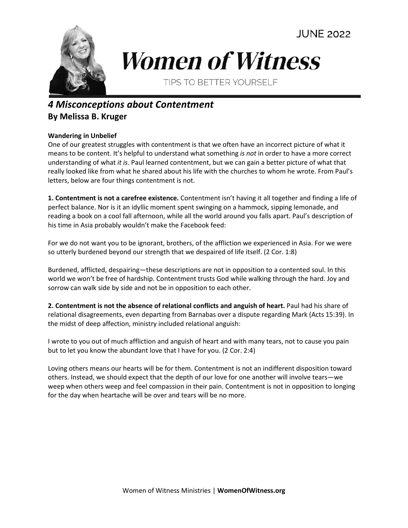

## **Women of Witness**

**TIPS TO BETTER YOURSELF** 

## *4 Misconceptions about Contentment* **By Melissa B. Kruger**

## **Wandering in Unbelief**

One of our greatest struggles with contentment is that we often have an incorrect picture of what it means to be content. It's helpful to understand what something *is not* in order to have a more correct understanding of what *it is*. Paul learned contentment, but we can gain a better picture of what that really looked like from what he shared about his life with the churches to whom he wrote. From Paul's letters, below are four things contentment is not.

**1. Contentment is not a carefree existence.** Contentment isn't having it all together and finding a life of perfect balance. Nor is it an idyllic moment spent swinging on a hammock, sipping lemonade, and reading a book on a cool fall afternoon, while all the world around you falls apart. Paul's description of his time in Asia probably wouldn't make the Facebook feed:

For we do not want you to be ignorant, brothers, of the affliction we experienced in Asia. For we were so utterly burdened beyond our strength that we despaired of life itself. (2 Cor. 1:8)

Burdened, afflicted, despairing—these descriptions are not in opposition to a contented soul. In this world we won't be free of hardship. Contentment trusts God while walking through the hard. Joy and sorrow can walk side by side and not be in opposition to each other.

**2. Contentment is not the absence of relational conflicts and anguish of heart.** Paul had his share of relational disagreements, even departing from Barnabas over a dispute regarding Mark (Acts 15:39). In the midst of deep affection, ministry included relational anguish:

I wrote to you out of much affliction and anguish of heart and with many tears, not to cause you pain but to let you know the abundant love that I have for you. (2 Cor. 2:4)

Loving others means our hearts will be for them. Contentment is not an indifferent disposition toward others. Instead, we should expect that the depth of our love for one another will involve tears—we weep when others weep and feel compassion in their pain. Contentment is not in opposition to longing for the day when heartache will be over and tears will be no more.